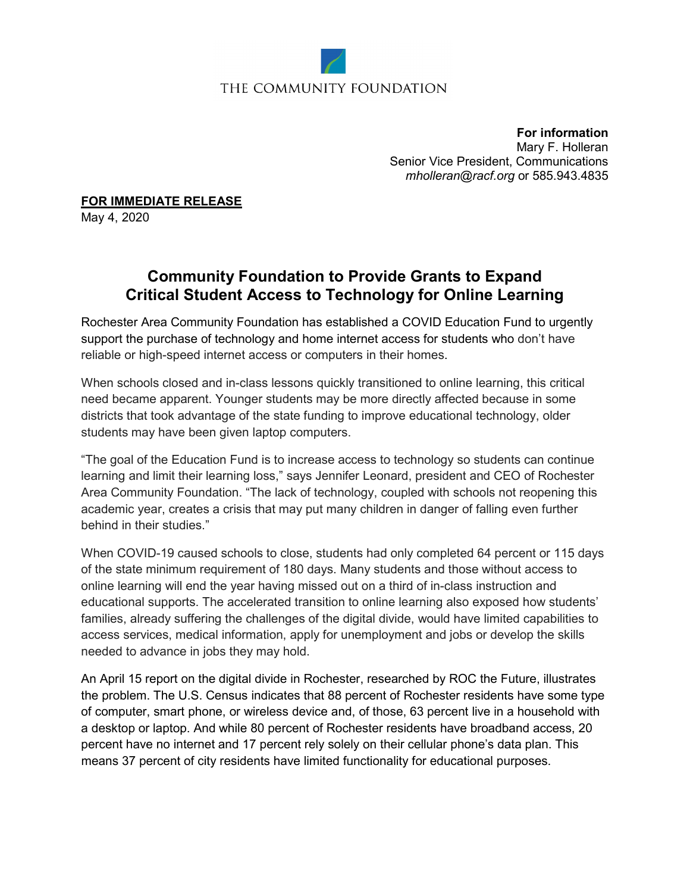

## THE COMMUNITY FOUNDATION

**For information** Mary F. Holleran Senior Vice President, Communications *[mholleran@racf.org](mailto:mholleran@racf.org)* or 585.943.4835

**FOR IMMEDIATE RELEASE**

May 4, 2020

## **Community Foundation to Provide Grants to Expand Critical Student Access to Technology for Online Learning**

Rochester Area Community Foundation has established a COVID Education Fund to urgently support the purchase of technology and home internet access for students who don't have reliable or high-speed internet access or computers in their homes.

When schools closed and in-class lessons quickly transitioned to online learning, this critical need became apparent. Younger students may be more directly affected because in some districts that took advantage of the state funding to improve educational technology, older students may have been given laptop computers.

"The goal of the Education Fund is to increase access to technology so students can continue learning and limit their learning loss," says Jennifer Leonard, president and CEO of Rochester Area Community Foundation. "The lack of technology, coupled with schools not reopening this academic year, creates a crisis that may put many children in danger of falling even further behind in their studies."

When COVID-19 caused schools to close, students had only completed 64 percent or 115 days of the state minimum requirement of 180 days. Many students and those without access to online learning will end the year having missed out on a third of in-class instruction and educational supports. The accelerated transition to online learning also exposed how students' families, already suffering the challenges of the digital divide, would have limited capabilities to access services, medical information, apply for unemployment and jobs or develop the skills needed to advance in jobs they may hold.

An April 15 report on the digital divide in Rochester, researched by ROC the Future, illustrates the problem. The U.S. Census indicates that 88 percent of Rochester residents have some type of computer, smart phone, or wireless device and, of those, 63 percent live in a household with a desktop or laptop. And while 80 percent of Rochester residents have broadband access, 20 percent have no internet and 17 percent rely solely on their cellular phone's data plan. This means 37 percent of city residents have limited functionality for educational purposes.